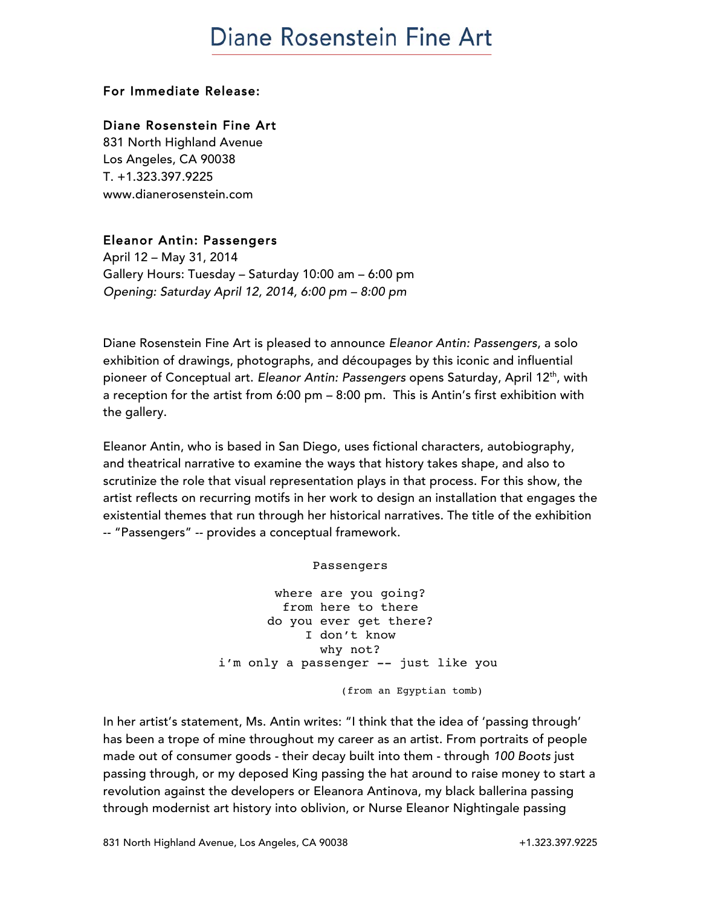## **Diane Rosenstein Fine Art**

#### For Immediate Release:

### Diane Rosenstein Fine Art

831 North Highland Avenue Los Angeles, CA 90038 T. +1.323.397.9225 www.dianerosenstein.com

#### Eleanor Antin: Passengers

April 12 – May 31, 2014 Gallery Hours: Tuesday – Saturday 10:00 am – 6:00 pm *Opening: Saturday April 12, 2014, 6:00 pm – 8:00 pm*

Diane Rosenstein Fine Art is pleased to announce *Eleanor Antin: Passengers*, a solo exhibition of drawings, photographs, and découpages by this iconic and influential pioneer of Conceptual art. *Eleanor Antin: Passengers* opens Saturday, April 12th, with a reception for the artist from 6:00 pm – 8:00 pm. This is Antin's first exhibition with the gallery.

Eleanor Antin, who is based in San Diego, uses fictional characters, autobiography, and theatrical narrative to examine the ways that history takes shape, and also to scrutinize the role that visual representation plays in that process. For this show, the artist reflects on recurring motifs in her work to design an installation that engages the existential themes that run through her historical narratives. The title of the exhibition -- "Passengers" -- provides a conceptual framework.

#### Passengers

where are you going? from here to there do you ever get there? I don't know why not? i'm only a passenger -- just like you (from an Egyptian tomb)

In her artist's statement, Ms. Antin writes: "I think that the idea of 'passing through' has been a trope of mine throughout my career as an artist. From portraits of people made out of consumer goods - their decay built into them - through *100 Boots* just passing through, or my deposed King passing the hat around to raise money to start a revolution against the developers or Eleanora Antinova, my black ballerina passing through modernist art history into oblivion, or Nurse Eleanor Nightingale passing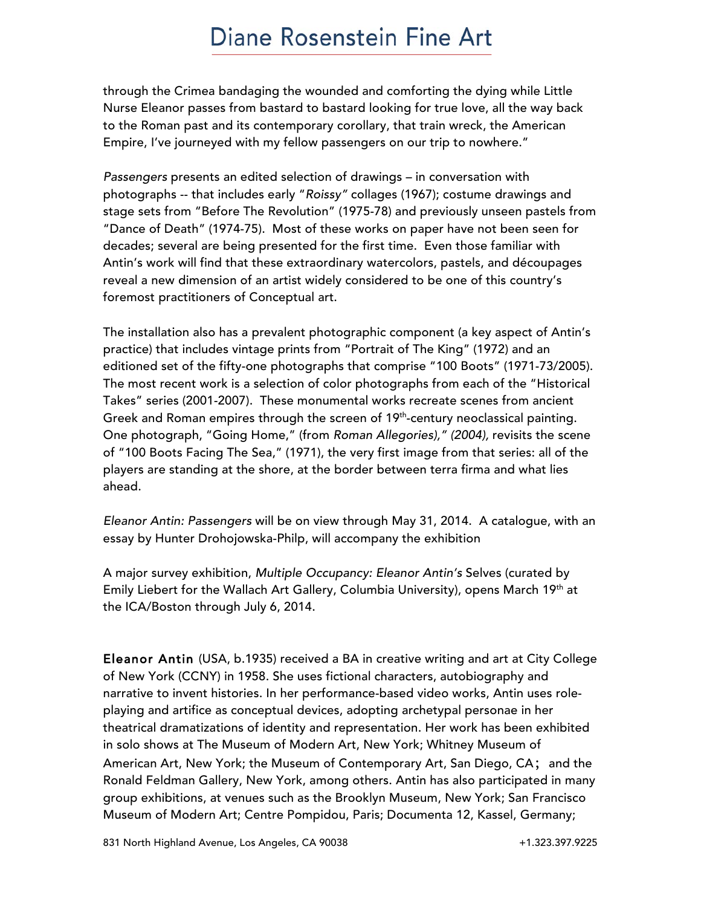### Diane Rosenstein Fine Art

through the Crimea bandaging the wounded and comforting the dying while Little Nurse Eleanor passes from bastard to bastard looking for true love, all the way back to the Roman past and its contemporary corollary, that train wreck, the American Empire, I've journeyed with my fellow passengers on our trip to nowhere."

*Passengers* presents an edited selection of drawings – in conversation with photographs -- that includes early "*Roissy"* collages (1967); costume drawings and stage sets from "Before The Revolution" (1975-78) and previously unseen pastels from "Dance of Death" (1974-75). Most of these works on paper have not been seen for decades; several are being presented for the first time. Even those familiar with Antin's work will find that these extraordinary watercolors, pastels, and découpages reveal a new dimension of an artist widely considered to be one of this country's foremost practitioners of Conceptual art.

The installation also has a prevalent photographic component (a key aspect of Antin's practice) that includes vintage prints from "Portrait of The King" (1972) and an editioned set of the fifty-one photographs that comprise "100 Boots" (1971-73/2005). The most recent work is a selection of color photographs from each of the "Historical Takes" series (2001-2007). These monumental works recreate scenes from ancient Greek and Roman empires through the screen of 19<sup>th</sup>-century neoclassical painting. One photograph, "Going Home," (from *Roman Allegories)," (2004),* revisits the scene of "100 Boots Facing The Sea," (1971), the very first image from that series: all of the players are standing at the shore, at the border between terra firma and what lies ahead.

*Eleanor Antin: Passengers* will be on view through May 31, 2014. A catalogue, with an essay by Hunter Drohojowska-Philp, will accompany the exhibition

A major survey exhibition, *Multiple Occupancy: Eleanor Antin's* Selves (curated by Emily Liebert for the Wallach Art Gallery, Columbia University), opens March 19<sup>th</sup> at the ICA/Boston through July 6, 2014.

Eleanor Antin (USA, b.1935) received a BA in creative writing and art at City College of New York (CCNY) in 1958. She uses fictional characters, autobiography and narrative to invent histories. In her performance-based video works, Antin uses roleplaying and artifice as conceptual devices, adopting archetypal personae in her theatrical dramatizations of identity and representation. Her work has been exhibited in solo shows at The Museum of Modern Art, New York; Whitney Museum of American Art, New York; the Museum of Contemporary Art, San Diego, CA; and the Ronald Feldman Gallery, New York, among others. Antin has also participated in many group exhibitions, at venues such as the Brooklyn Museum, New York; San Francisco Museum of Modern Art; Centre Pompidou, Paris; Documenta 12, Kassel, Germany;

831 North Highland Avenue, Los Angeles, CA 90038 +1.323.397.9225